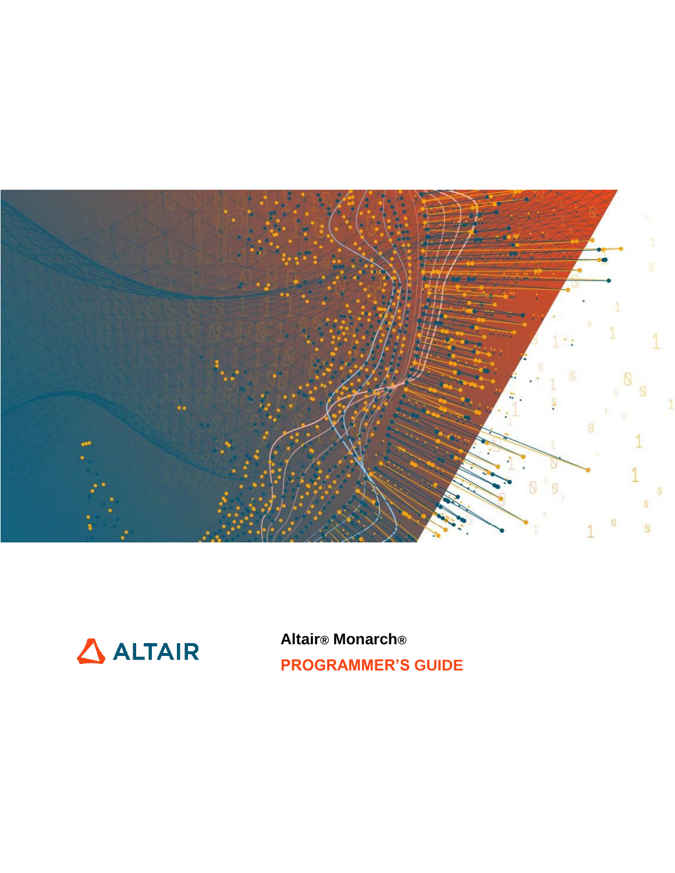



**Altair® Monarch® PROGRAMMER'S GUIDE**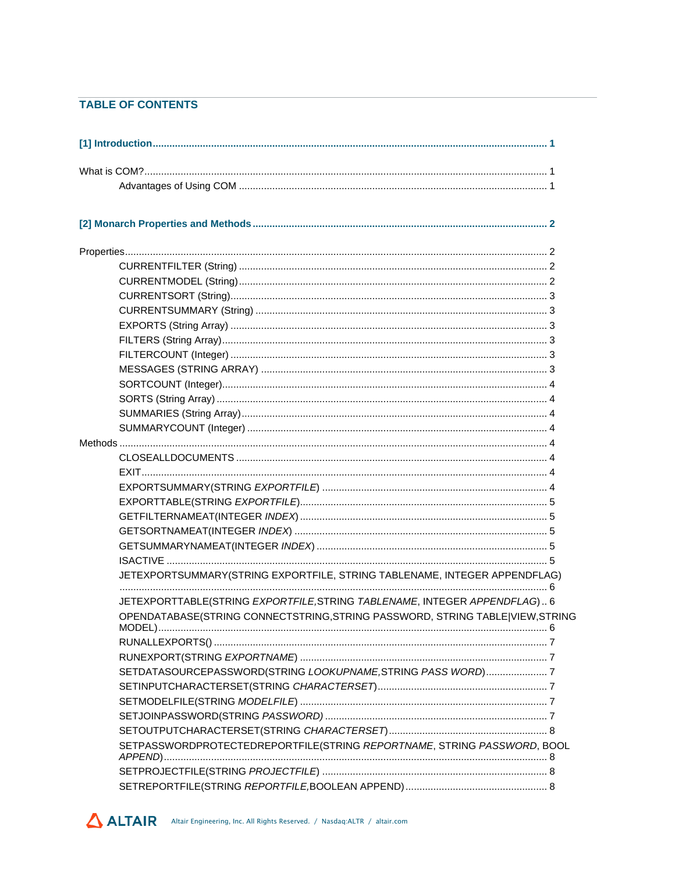#### **TABLE OF CONTENTS**

| JETEXPORTSUMMARY(STRING EXPORTFILE, STRING TABLENAME, INTEGER APPENDFLAG)     |  |
|-------------------------------------------------------------------------------|--|
| JETEXPORTTABLE(STRING EXPORTFILE, STRING TABLENAME, INTEGER APPENDFLAG) 6     |  |
| OPENDATABASE(STRING CONNECTSTRING, STRING PASSWORD, STRING TABLE VIEW, STRING |  |
|                                                                               |  |
|                                                                               |  |
| SETDATASOURCEPASSWORD(STRING LOOKUPNAME, STRING PASS WORD) 7                  |  |
|                                                                               |  |
|                                                                               |  |
|                                                                               |  |
|                                                                               |  |
| SETPASSWORDPROTECTEDREPORTFILE(STRING REPORTNAME, STRING PASSWORD, BOOL       |  |
|                                                                               |  |
|                                                                               |  |
|                                                                               |  |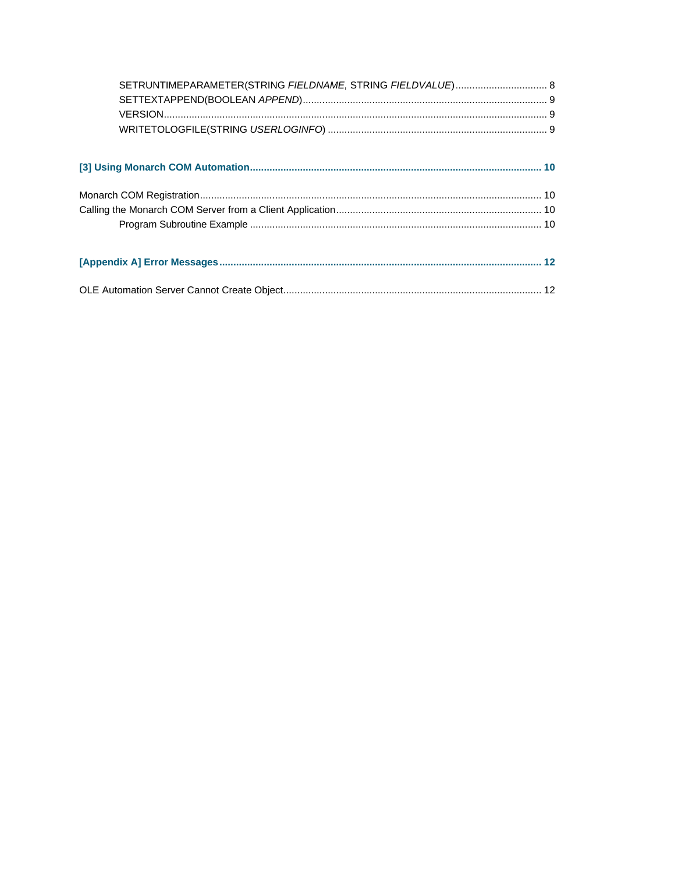| SETRUNTIMEPARAMETER(STRING FIELDNAME, STRING FIELDVALUE) 8 |  |
|------------------------------------------------------------|--|
|                                                            |  |
|                                                            |  |
|                                                            |  |
|                                                            |  |
|                                                            |  |
|                                                            |  |
|                                                            |  |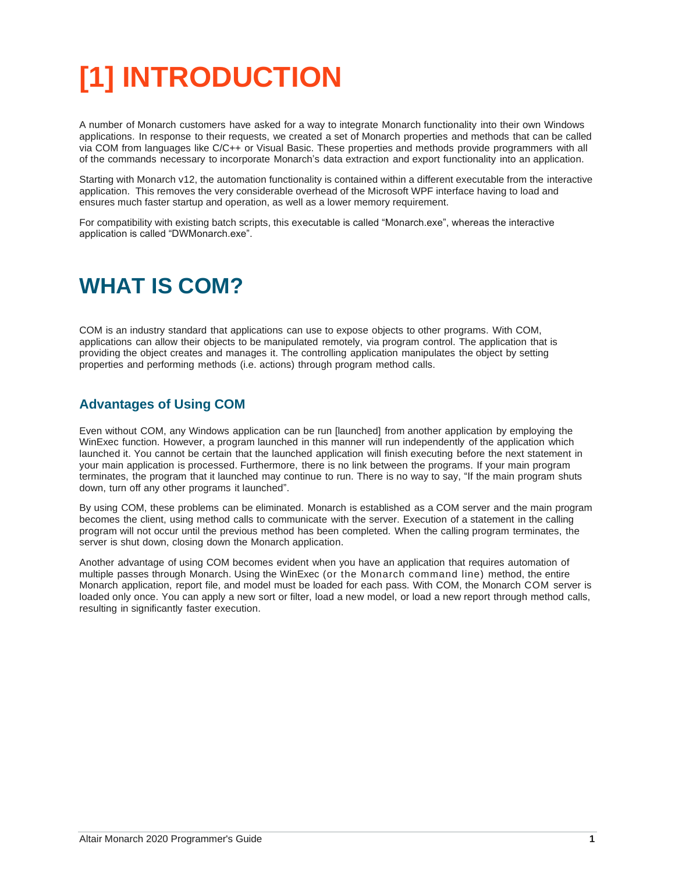# <span id="page-4-0"></span>**[1] INTRODUCTION**

A number of Monarch customers have asked for a way to integrate Monarch functionality into their own Windows applications. In response to their requests, we created a set of Monarch properties and methods that can be called via COM from languages like C/C++ or Visual Basic. These properties and methods provide programmers with all of the commands necessary to incorporate Monarch's data extraction and export functionality into an application.

Starting with Monarch v12, the automation functionality is contained within a different executable from the interactive application. This removes the very considerable overhead of the Microsoft WPF interface having to load and ensures much faster startup and operation, as well as a lower memory requirement.

For compatibility with existing batch scripts, this executable is called "Monarch.exe", whereas the interactive application is called "DWMonarch.exe".

## <span id="page-4-1"></span>**WHAT IS COM?**

COM is an industry standard that applications can use to expose objects to other programs. With COM, applications can allow their objects to be manipulated remotely, via program control. The application that is providing the object creates and manages it. The controlling application manipulates the object by setting properties and performing methods (i.e. actions) through program method calls.

#### <span id="page-4-2"></span>**Advantages of Using COM**

Even without COM, any Windows application can be run [launched] from another application by employing the WinExec function. However, a program launched in this manner will run independently of the application which launched it. You cannot be certain that the launched application will finish executing before the next statement in your main application is processed. Furthermore, there is no link between the programs. If your main program terminates, the program that it launched may continue to run. There is no way to say, "If the main program shuts down, turn off any other programs it launched".

By using COM, these problems can be eliminated. Monarch is established as a COM server and the main program becomes the client, using method calls to communicate with the server. Execution of a statement in the calling program will not occur until the previous method has been completed. When the calling program terminates, the server is shut down, closing down the Monarch application.

Another advantage of using COM becomes evident when you have an application that requires automation of multiple passes through Monarch. Using the WinExec (or the Monarch command line) method, the entire Monarch application, report file, and model must be loaded for each pass. With COM, the Monarch COM server is loaded only once. You can apply a new sort or filter, load a new model, or load a new report through method calls, resulting in significantly faster execution.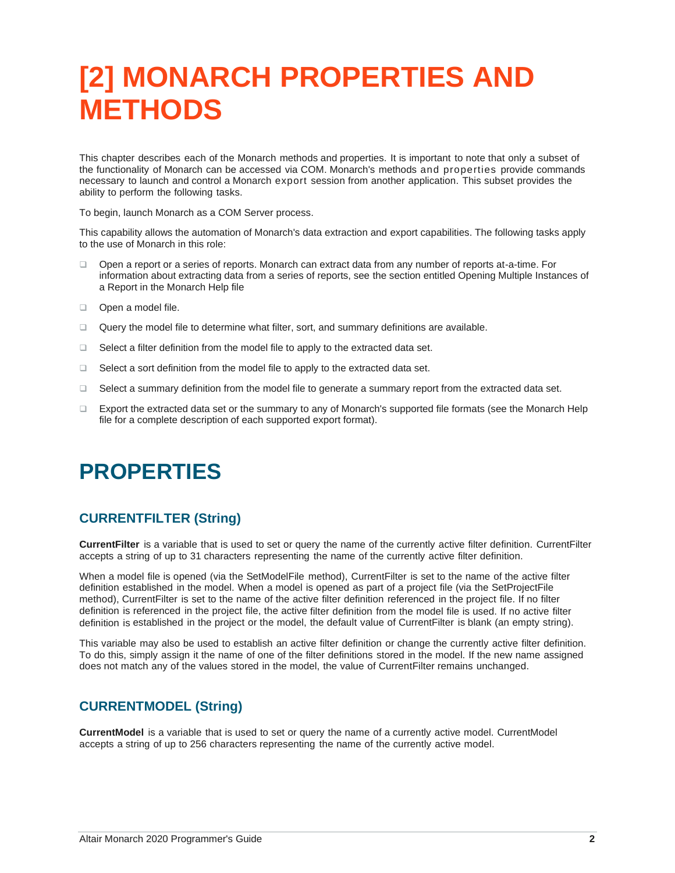## <span id="page-5-0"></span>**[2] MONARCH PROPERTIES AND METHODS**

This chapter describes each of the Monarch methods and properties. It is important to note that only a subset of the functionality of Monarch can be accessed via COM. Monarch's methods and properties provide commands necessary to launch and control a Monarch export session from another application. This subset provides the ability to perform the following tasks.

To begin, launch Monarch as a COM Server process.

This capability allows the automation of Monarch's data extraction and export capabilities. The following tasks apply to the use of Monarch in this role:

- ❑ Open a report or a series of reports. Monarch can extract data from any number of reports at-a-time. For information about extracting data from a series of reports, see the section entitled Opening Multiple Instances of a Report in the Monarch Help file
- ❑ Open a model file.
- ❑ Query the model file to determine what filter, sort, and summary definitions are available.
- ❑ Select a filter definition from the model file to apply to the extracted data set.
- ❑ Select a sort definition from the model file to apply to the extracted data set.
- ❑ Select a summary definition from the model file to generate a summary report from the extracted data set.
- ❑ Export the extracted data set or the summary to any of Monarch's supported file formats (see the Monarch Help file for a complete description of each supported export format).

## <span id="page-5-1"></span>**PROPERTIES**

#### <span id="page-5-2"></span>**CURRENTFILTER (String)**

**CurrentFilter** is a variable that is used to set or query the name of the currently active filter definition. CurrentFilter accepts a string of up to 31 characters representing the name of the currently active filter definition.

When a model file is opened (via the SetModelFile method), CurrentFilter is set to the name of the active filter definition established in the model. When a model is opened as part of a project file (via the SetProjectFile method), CurrentFilter is set to the name of the active filter definition referenced in the project file. If no filter definition is referenced in the project file, the active filter definition from the model file is used. If no active filter definition is established in the project or the model, the default value of CurrentFilter is blank (an empty string).

This variable may also be used to establish an active filter definition or change the currently active filter definition. To do this, simply assign it the name of one of the filter definitions stored in the model. If the new name assigned does not match any of the values stored in the model, the value of CurrentFilter remains unchanged.

#### <span id="page-5-3"></span>**CURRENTMODEL (String)**

**CurrentModel** is a variable that is used to set or query the name of a currently active model. CurrentModel accepts a string of up to 256 characters representing the name of the currently active model.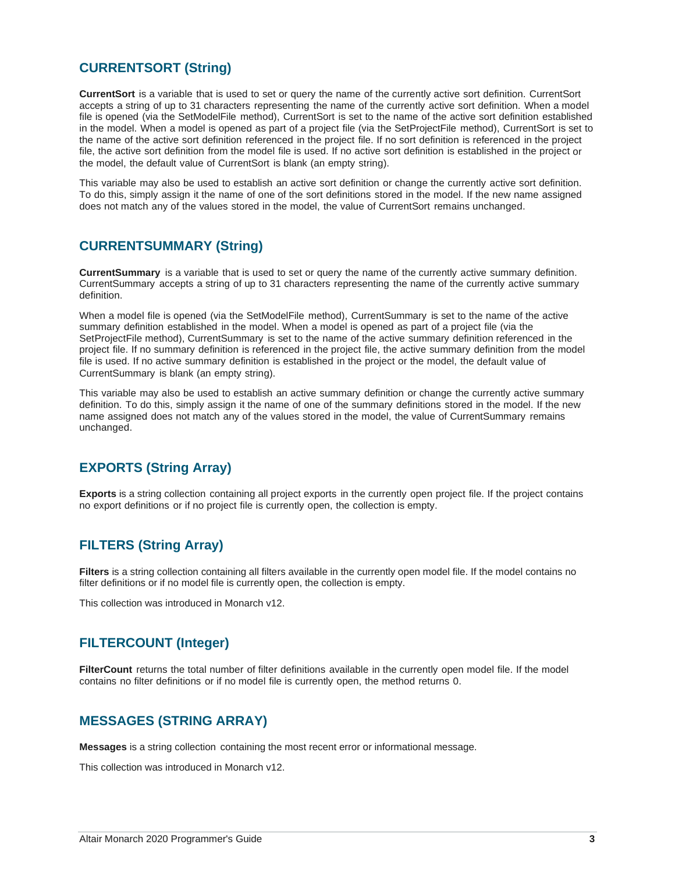#### <span id="page-6-0"></span>**CURRENTSORT (String)**

**CurrentSort** is a variable that is used to set or query the name of the currently active sort definition. CurrentSort accepts a string of up to 31 characters representing the name of the currently active sort definition. When a model file is opened (via the SetModelFile method), CurrentSort is set to the name of the active sort definition established in the model. When a model is opened as part of a project file (via the SetProjectFile method), CurrentSort is set to the name of the active sort definition referenced in the project file. If no sort definition is referenced in the project file, the active sort definition from the model file is used. If no active sort definition is established in the project or the model, the default value of CurrentSort is blank (an empty string).

This variable may also be used to establish an active sort definition or change the currently active sort definition. To do this, simply assign it the name of one of the sort definitions stored in the model. If the new name assigned does not match any of the values stored in the model, the value of CurrentSort remains unchanged.

#### <span id="page-6-1"></span>**CURRENTSUMMARY (String)**

**CurrentSummary** is a variable that is used to set or query the name of the currently active summary definition. CurrentSummary accepts a string of up to 31 characters representing the name of the currently active summary definition.

When a model file is opened (via the SetModelFile method), CurrentSummary is set to the name of the active summary definition established in the model. When a model is opened as part of a project file (via the SetProjectFile method), CurrentSummary is set to the name of the active summary definition referenced in the project file. If no summary definition is referenced in the project file, the active summary definition from the model file is used. If no active summary definition is established in the project or the model, the default value of CurrentSummary is blank (an empty string).

This variable may also be used to establish an active summary definition or change the currently active summary definition. To do this, simply assign it the name of one of the summary definitions stored in the model. If the new name assigned does not match any of the values stored in the model, the value of CurrentSummary remains unchanged.

#### <span id="page-6-2"></span>**EXPORTS (String Array)**

**Exports** is a string collection containing all project exports in the currently open project file. If the project contains no export definitions or if no project file is currently open, the collection is empty.

#### <span id="page-6-3"></span>**FILTERS (String Array)**

**Filters** is a string collection containing all filters available in the currently open model file. If the model contains no filter definitions or if no model file is currently open, the collection is empty.

This collection was introduced in Monarch v12.

#### <span id="page-6-4"></span>**FILTERCOUNT (Integer)**

**FilterCount** returns the total number of filter definitions available in the currently open model file. If the model contains no filter definitions or if no model file is currently open, the method returns 0.

#### <span id="page-6-5"></span>**MESSAGES (STRING ARRAY)**

**Messages** is a string collection containing the most recent error or informational message.

This collection was introduced in Monarch v12.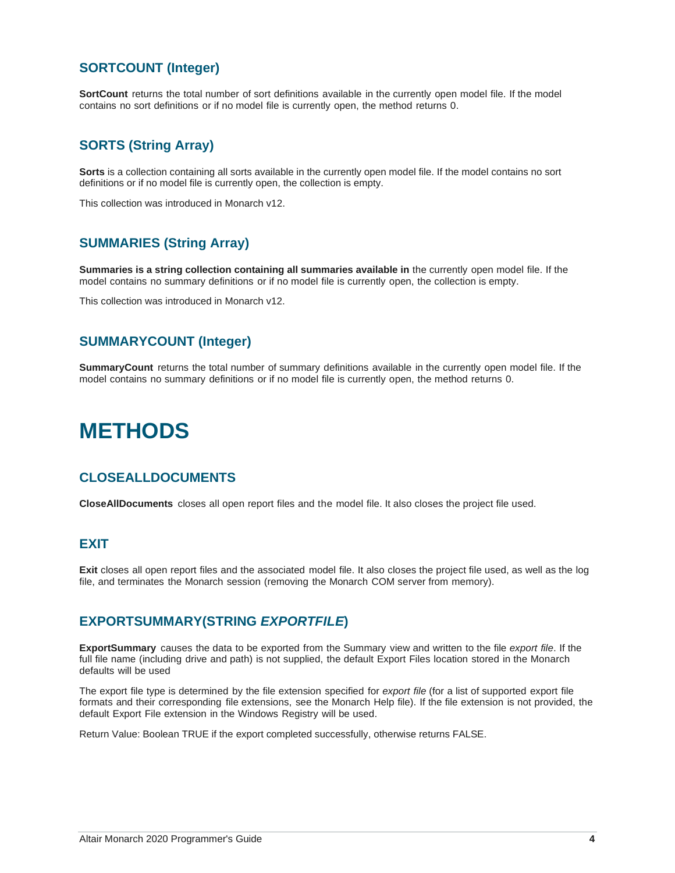#### <span id="page-7-0"></span>**SORTCOUNT (Integer)**

**SortCount** returns the total number of sort definitions available in the currently open model file. If the model contains no sort definitions or if no model file is currently open, the method returns 0.

#### <span id="page-7-1"></span>**SORTS (String Array)**

**Sorts** is a collection containing all sorts available in the currently open model file. If the model contains no sort definitions or if no model file is currently open, the collection is empty.

This collection was introduced in Monarch v12.

#### <span id="page-7-2"></span>**SUMMARIES (String Array)**

**Summaries is a string collection containing all summaries available in** the currently open model file. If the model contains no summary definitions or if no model file is currently open, the collection is empty.

This collection was introduced in Monarch v12.

#### <span id="page-7-3"></span>**SUMMARYCOUNT (Integer)**

**SummaryCount** returns the total number of summary definitions available in the currently open model file. If the model contains no summary definitions or if no model file is currently open, the method returns 0.

## <span id="page-7-4"></span>**METHODS**

#### <span id="page-7-5"></span>**CLOSEALLDOCUMENTS**

**CloseAllDocuments** closes all open report files and the model file. It also closes the project file used.

#### <span id="page-7-6"></span>**EXIT**

**Exit** closes all open report files and the associated model file. It also closes the project file used, as well as the log file, and terminates the Monarch session (removing the Monarch COM server from memory).

#### <span id="page-7-7"></span>**EXPORTSUMMARY(STRING** *EXPORTFILE***)**

**ExportSummary** causes the data to be exported from the Summary view and written to the file *export file*. If the full file name (including drive and path) is not supplied, the default Export Files location stored in the Monarch defaults will be used

The export file type is determined by the file extension specified for *export file* (for a list of supported export file formats and their corresponding file extensions, see the Monarch Help file). If the file extension is not provided, the default Export File extension in the Windows Registry will be used.

Return Value: Boolean TRUE if the export completed successfully, otherwise returns FALSE.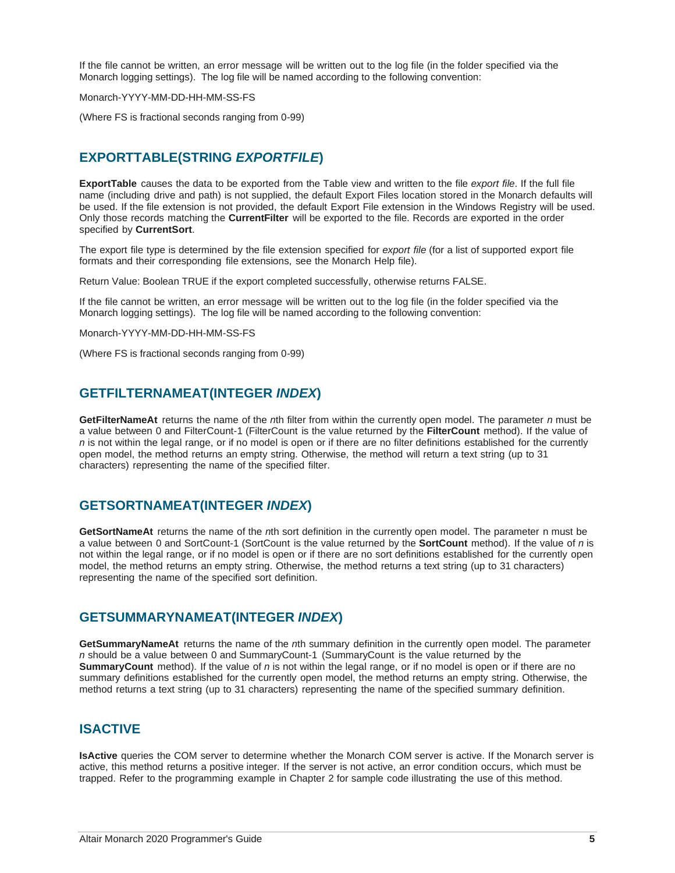If the file cannot be written, an error message will be written out to the log file (in the folder specified via the Monarch logging settings). The log file will be named according to the following convention:

Monarch-YYYY-MM-DD-HH-MM-SS-FS

(Where FS is fractional seconds ranging from 0-99)

#### <span id="page-8-0"></span>**EXPORTTABLE(STRING** *EXPORTFILE***)**

**ExportTable** causes the data to be exported from the Table view and written to the file *export file*. If the full file name (including drive and path) is not supplied, the default Export Files location stored in the Monarch defaults will be used. If the file extension is not provided, the default Export File extension in the Windows Registry will be used. Only those records matching the **CurrentFilter** will be exported to the file. Records are exported in the order specified by **CurrentSort**.

The export file type is determined by the file extension specified for *export file* (for a list of supported export file formats and their corresponding file extensions, see the Monarch Help file).

Return Value: Boolean TRUE if the export completed successfully, otherwise returns FALSE.

If the file cannot be written, an error message will be written out to the log file (in the folder specified via the Monarch logging settings). The log file will be named according to the following convention:

Monarch-YYYY-MM-DD-HH-MM-SS-FS

(Where FS is fractional seconds ranging from 0-99)

#### <span id="page-8-1"></span>**GETFILTERNAMEAT(INTEGER** *INDEX***)**

**GetFilterNameAt** returns the name of the *n*th filter from within the currently open model. The parameter *n* must be a value between 0 and FilterCount-1 (FilterCount is the value returned by the **FilterCount** method). If the value of *n* is not within the legal range, or if no model is open or if there are no filter definitions established for the currently open model, the method returns an empty string. Otherwise, the method will return a text string (up to 31 characters) representing the name of the specified filter.

#### <span id="page-8-2"></span>**GETSORTNAMEAT(INTEGER** *INDEX***)**

**GetSortNameAt** returns the name of the *n*th sort definition in the currently open model. The parameter n must be a value between 0 and SortCount-1 (SortCount is the value returned by the **SortCount** method). If the value of *n* is not within the legal range, or if no model is open or if there are no sort definitions established for the currently open model, the method returns an empty string. Otherwise, the method returns a text string (up to 31 characters) representing the name of the specified sort definition.

#### <span id="page-8-3"></span>**GETSUMMARYNAMEAT(INTEGER** *INDEX***)**

**GetSummaryNameAt** returns the name of the *n*th summary definition in the currently open model. The parameter *n* should be a value between 0 and SummaryCount-1 (SummaryCount is the value returned by the **SummaryCount** method). If the value of *n* is not within the legal range, or if no model is open or if there are no summary definitions established for the currently open model, the method returns an empty string. Otherwise, the method returns a text string (up to 31 characters) representing the name of the specified summary definition.

#### <span id="page-8-4"></span>**ISACTIVE**

**IsActive** queries the COM server to determine whether the Monarch COM server is active. If the Monarch server is active, this method returns a positive integer. If the server is not active, an error condition occurs, which must be trapped. Refer to the programming example in Chapter 2 for sample code illustrating the use of this method.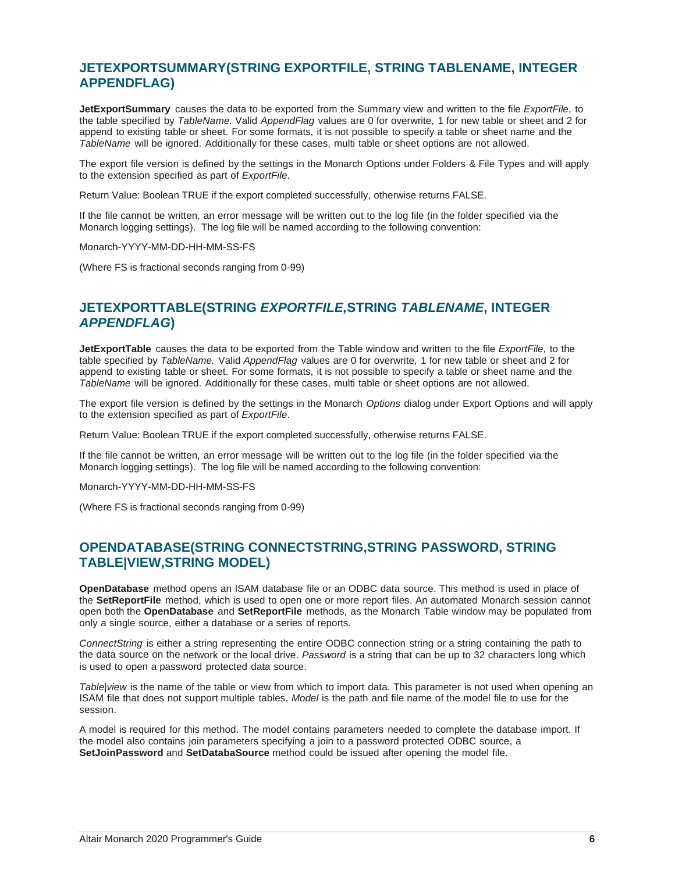#### <span id="page-9-0"></span>**JETEXPORTSUMMARY(STRING EXPORTFILE, STRING TABLENAME, INTEGER APPENDFLAG)**

**JetExportSummary** causes the data to be exported from the Summary view and written to the file *ExportFile*, to the table specified by *TableName.* Valid *AppendFlag* values are 0 for overwrite, 1 for new table or sheet and 2 for append to existing table or sheet. For some formats, it is not possible to specify a table or sheet name and the *TableName* will be ignored. Additionally for these cases, multi table or sheet options are not allowed.

The export file version is defined by the settings in the Monarch Options under Folders & File Types and will apply to the extension specified as part of *ExportFile*.

Return Value: Boolean TRUE if the export completed successfully, otherwise returns FALSE.

If the file cannot be written, an error message will be written out to the log file (in the folder specified via the Monarch logging settings). The log file will be named according to the following convention:

Monarch-YYYY-MM-DD-HH-MM-SS-FS

<span id="page-9-1"></span>(Where FS is fractional seconds ranging from 0-99)

#### **JETEXPORTTABLE(STRING** *EXPORTFILE,***STRING** *TABLENAME***, INTEGER**  *APPENDFLAG***)**

**JetExportTable** causes the data to be exported from the Table window and written to the file *ExportFile*, to the table specified by *TableName.* Valid *AppendFlag* values are 0 for overwrite, 1 for new table or sheet and 2 for append to existing table or sheet. For some formats, it is not possible to specify a table or sheet name and the *TableName* will be ignored. Additionally for these cases, multi table or sheet options are not allowed.

The export file version is defined by the settings in the Monarch *Options* dialog under Export Options and will apply to the extension specified as part of *ExportFile*.

Return Value: Boolean TRUE if the export completed successfully, otherwise returns FALSE.

If the file cannot be written, an error message will be written out to the log file (in the folder specified via the Monarch logging settings). The log file will be named according to the following convention:

Monarch-YYYY-MM-DD-HH-MM-SS-FS

(Where FS is fractional seconds ranging from 0-99)

#### <span id="page-9-2"></span>**OPENDATABASE(STRING CONNECTSTRING,STRING PASSWORD, STRING TABLE|VIEW,STRING MODEL)**

**OpenDatabase** method opens an ISAM database file or an ODBC data source. This method is used in place of the **SetReportFile** method, which is used to open one or more report files. An automated Monarch session cannot open both the **OpenDatabase** and **SetReportFile** methods, as the Monarch Table window may be populated from only a single source, either a database or a series of reports.

*ConnectString* is either a string representing the entire ODBC connection string or a string containing the path to the data source on the network or the local drive. *Password* is a string that can be up to 32 characters long which is used to open a password protected data source.

*Table|view* is the name of the table or view from which to import data. This parameter is not used when opening an ISAM file that does not support multiple tables. *Model* is the path and file name of the model file to use for the session.

A model is required for this method. The model contains parameters needed to complete the database import. If the model also contains join parameters specifying a join to a password protected ODBC source, a **SetJoinPassword** and **SetDatabaSource** method could be issued after opening the model file.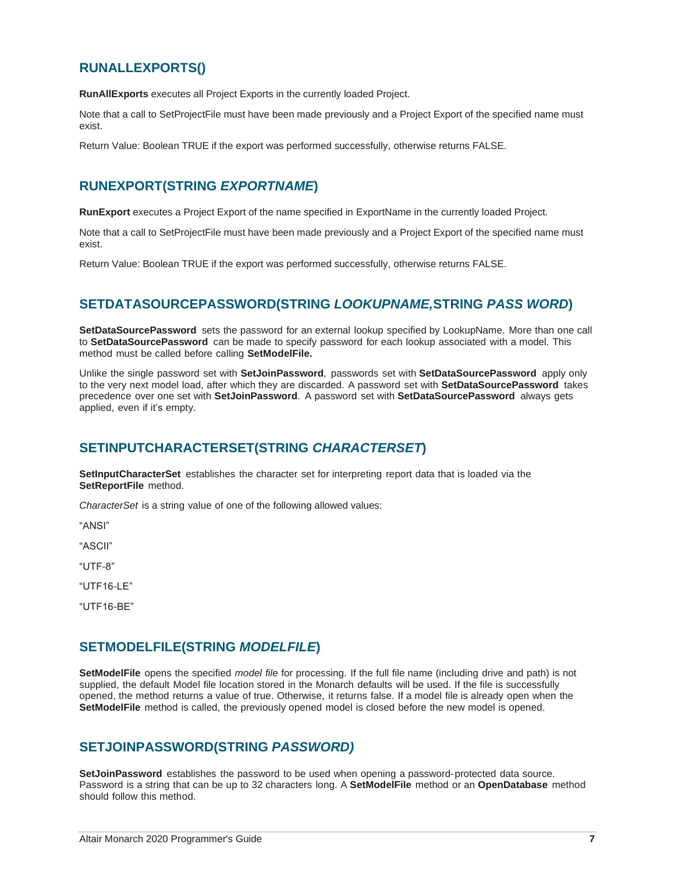#### <span id="page-10-0"></span>**RUNALLEXPORTS()**

**RunAllExports** executes all Project Exports in the currently loaded Project.

Note that a call to SetProjectFile must have been made previously and a Project Export of the specified name must exist.

Return Value: Boolean TRUE if the export was performed successfully, otherwise returns FALSE.

#### <span id="page-10-1"></span>**RUNEXPORT(STRING** *EXPORTNAME***)**

**RunExport** executes a Project Export of the name specified in ExportName in the currently loaded Project.

Note that a call to SetProjectFile must have been made previously and a Project Export of the specified name must exist.

Return Value: Boolean TRUE if the export was performed successfully, otherwise returns FALSE.

#### <span id="page-10-2"></span>**SETDATASOURCEPASSWORD(STRING** *LOOKUPNAME,***STRING** *PASS WORD***)**

**SetDataSourcePassword** sets the password for an external lookup specified by LookupName. More than one call to **SetDataSourcePassword** can be made to specify password for each lookup associated with a model. This method must be called before calling **SetModelFile.**

Unlike the single password set with **SetJoinPassword**, passwords set with **SetDataSourcePassword** apply only to the very next model load, after which they are discarded. A password set with **SetDataSourcePassword** takes precedence over one set with **SetJoinPassword**. A password set with **SetDataSourcePassword** always gets applied, even if it's empty.

#### <span id="page-10-3"></span>**SETINPUTCHARACTERSET(STRING** *CHARACTERSET***)**

**SetInputCharacterSet** establishes the character set for interpreting report data that is loaded via the **SetReportFile** method.

*CharacterSet* is a string value of one of the following allowed values:

"ANSI"

"ASCII"

"UTF-8"

"UTF16-LE"

"UTF16-BE"

#### <span id="page-10-4"></span>**SETMODELFILE(STRING** *MODELFILE***)**

**SetModelFile** opens the specified *model file* for processing. If the full file name (including drive and path) is not supplied, the default Model file location stored in the Monarch defaults will be used. If the file is successfully opened, the method returns a value of true. Otherwise, it returns false. If a model file is already open when the **SetModelFile** method is called, the previously opened model is closed before the new model is opened.

#### <span id="page-10-5"></span>**SETJOINPASSWORD(STRING** *PASSWORD)*

**SetJoinPassword** establishes the password to be used when opening a password-protected data source. Password is a string that can be up to 32 characters long. A **SetModelFile** method or an **OpenDatabase** method should follow this method.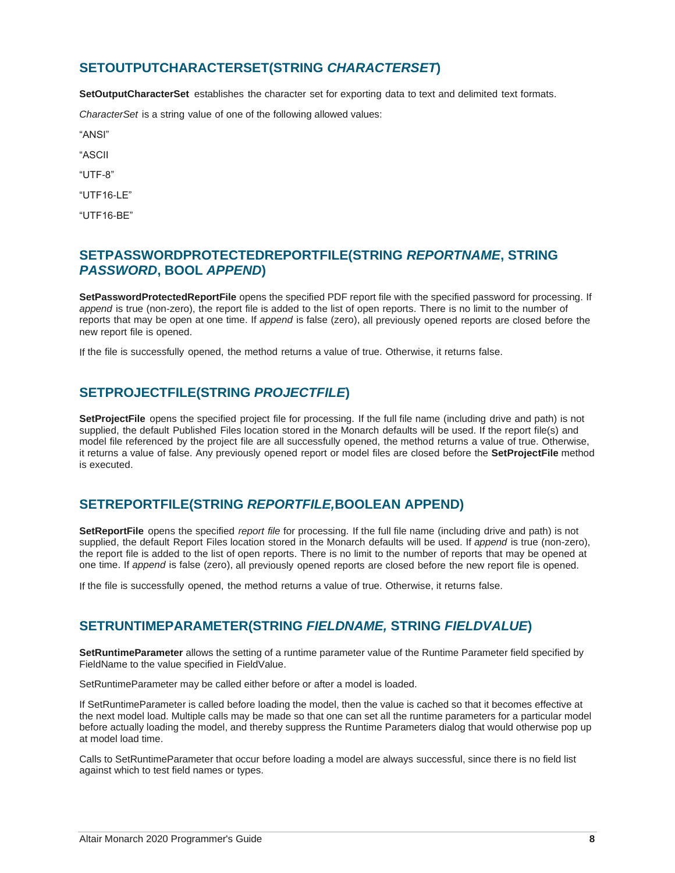#### <span id="page-11-0"></span>**SETOUTPUTCHARACTERSET(STRING** *CHARACTERSET***)**

**SetOutputCharacterSet** establishes the character set for exporting data to text and delimited text formats.

*CharacterSet* is a string value of one of the following allowed values:

"ANSI"

"ASCII

"UTF-8"

"UTF16-LE"

"UTF16-BE"

#### <span id="page-11-1"></span>**SETPASSWORDPROTECTEDREPORTFILE(STRING** *REPORTNAME***, STRING**  *PASSWORD***, BOOL** *APPEND***)**

**SetPasswordProtectedReportFile** opens the specified PDF report file with the specified password for processing. If *append* is true (non-zero), the report file is added to the list of open reports. There is no limit to the number of reports that may be open at one time. If *append* is false (zero), all previously opened reports are closed before the new report file is opened.

If the file is successfully opened, the method returns a value of true. Otherwise, it returns false.

#### <span id="page-11-2"></span>**SETPROJECTFILE(STRING** *PROJECTFILE***)**

**SetProjectFile** opens the specified project file for processing. If the full file name (including drive and path) is not supplied, the default Published Files location stored in the Monarch defaults will be used. If the report file(s) and model file referenced by the project file are all successfully opened, the method returns a value of true. Otherwise, it returns a value of false. Any previously opened report or model files are closed before the **SetProjectFile** method is executed.

#### <span id="page-11-3"></span>**SETREPORTFILE(STRING** *REPORTFILE,***BOOLEAN APPEND)**

**SetReportFile** opens the specified *report file* for processing. If the full file name (including drive and path) is not supplied, the default Report Files location stored in the Monarch defaults will be used. If *append* is true (non-zero), the report file is added to the list of open reports. There is no limit to the number of reports that may be opened at one time. If *append* is false (zero), all previously opened reports are closed before the new report file is opened.

If the file is successfully opened, the method returns a value of true. Otherwise, it returns false.

#### <span id="page-11-4"></span>**SETRUNTIMEPARAMETER(STRING** *FIELDNAME,* **STRING** *FIELDVALUE***)**

**SetRuntimeParameter** allows the setting of a runtime parameter value of the Runtime Parameter field specified by FieldName to the value specified in FieldValue.

SetRuntimeParameter may be called either before or after a model is loaded.

If SetRuntimeParameter is called before loading the model, then the value is cached so that it becomes effective at the next model load. Multiple calls may be made so that one can set all the runtime parameters for a particular model before actually loading the model, and thereby suppress the Runtime Parameters dialog that would otherwise pop up at model load time.

Calls to SetRuntimeParameter that occur before loading a model are always successful, since there is no field list against which to test field names or types.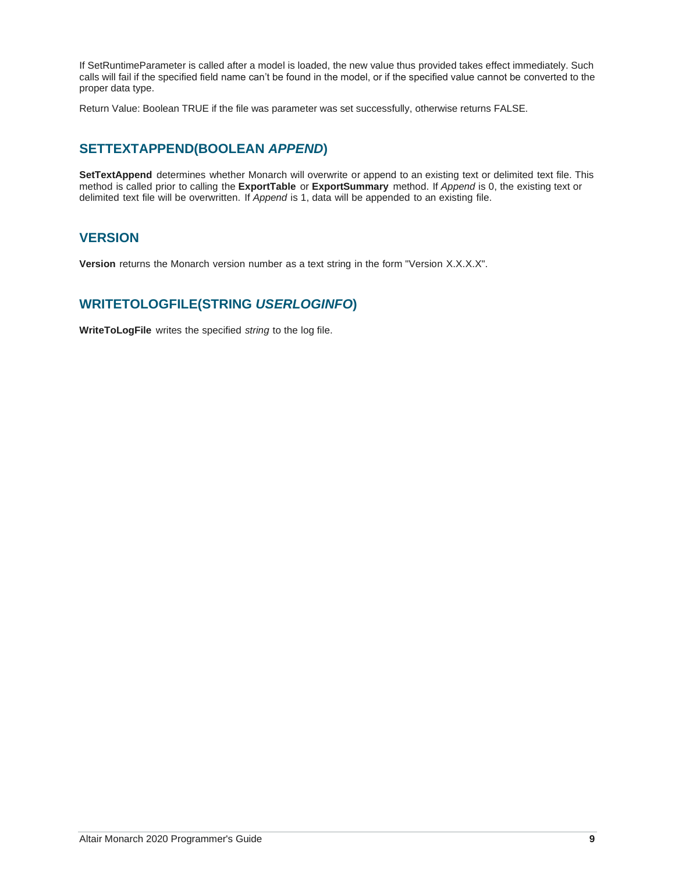If SetRuntimeParameter is called after a model is loaded, the new value thus provided takes effect immediately. Such calls will fail if the specified field name can't be found in the model, or if the specified value cannot be converted to the proper data type.

Return Value: Boolean TRUE if the file was parameter was set successfully, otherwise returns FALSE.

#### <span id="page-12-0"></span>**SETTEXTAPPEND(BOOLEAN** *APPEND***)**

**SetTextAppend** determines whether Monarch will overwrite or append to an existing text or delimited text file. This method is called prior to calling the **ExportTable** or **ExportSummary** method. If *Append* is 0, the existing text or delimited text file will be overwritten. If *Append* is 1, data will be appended to an existing file.

#### <span id="page-12-1"></span>**VERSION**

**Version** returns the Monarch version number as a text string in the form "Version X.X.X.X".

#### <span id="page-12-2"></span>**WRITETOLOGFILE(STRING** *USERLOGINFO***)**

**WriteToLogFile** writes the specified *string* to the log file.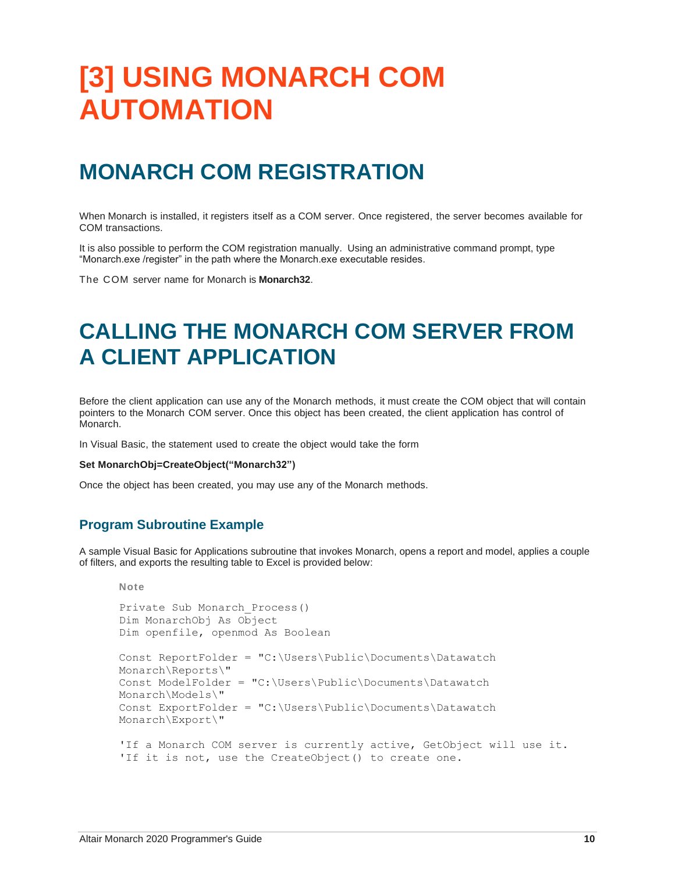## <span id="page-13-0"></span>**[3] USING MONARCH COM AUTOMATION**

## <span id="page-13-1"></span>**MONARCH COM REGISTRATION**

When Monarch is installed, it registers itself as a COM server. Once registered, the server becomes available for COM transactions.

It is also possible to perform the COM registration manually. Using an administrative command prompt, type "Monarch.exe /register" in the path where the Monarch.exe executable resides.

<span id="page-13-2"></span>The COM server name for Monarch is **Monarch32**.

## **CALLING THE MONARCH COM SERVER FROM A CLIENT APPLICATION**

Before the client application can use any of the Monarch methods, it must create the COM object that will contain pointers to the Monarch COM server. Once this object has been created, the client application has control of Monarch.

In Visual Basic, the statement used to create the object would take the form

#### **Set MonarchObj=CreateObject("Monarch32")**

<span id="page-13-3"></span>Once the object has been created, you may use any of the Monarch methods.

#### **Program Subroutine Example**

**Note**

A sample Visual Basic for Applications subroutine that invokes Monarch, opens a report and model, applies a couple of filters, and exports the resulting table to Excel is provided below:

```
Private Sub Monarch_Process()
Dim MonarchObj As Object
Dim openfile, openmod As Boolean
Const ReportFolder = "C:\Users\Public\Documents\Datawatch 
Monarch\Reports\"
Const ModelFolder = "C:\Users\Public\Documents\Datawatch 
Monarch\Models\"
Const ExportFolder = "C:\Users\Public\Documents\Datawatch 
Monarch\Export\"
'If a Monarch COM server is currently active, GetObject will use it.
'If it is not, use the CreateObject() to create one.
```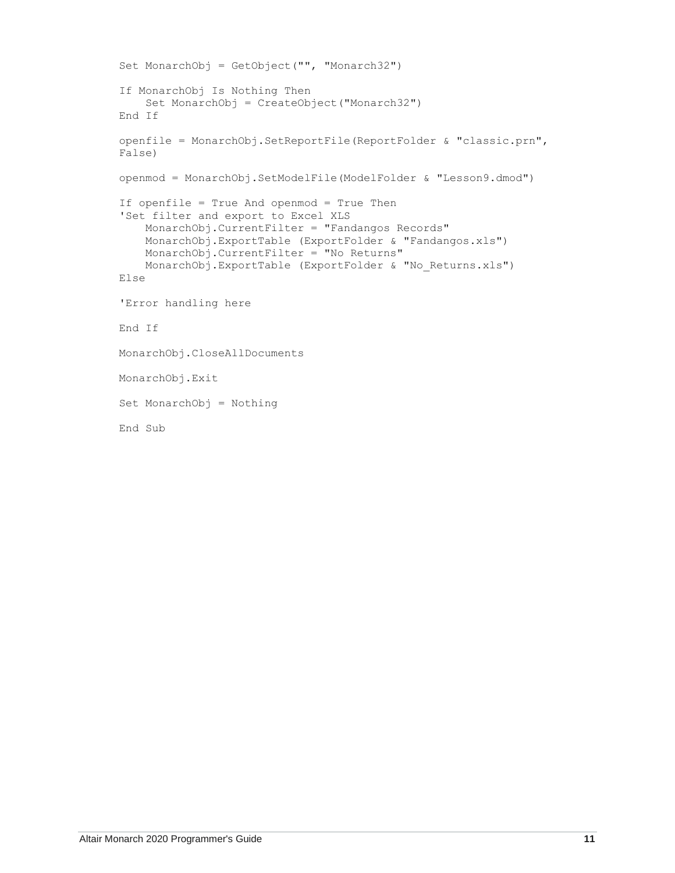```
Set MonarchObj = GetObject("", "Monarch32")
If MonarchObj Is Nothing Then
    Set MonarchObj = CreateObject("Monarch32")
End If
openfile = MonarchObj.SetReportFile(ReportFolder & "classic.prn", 
False)
openmod = MonarchObj.SetModelFile(ModelFolder & "Lesson9.dmod")
If openfile = True And openmod = True Then
'Set filter and export to Excel XLS
     MonarchObj.CurrentFilter = "Fandangos Records"
     MonarchObj.ExportTable (ExportFolder & "Fandangos.xls")
     MonarchObj.CurrentFilter = "No Returns"
     MonarchObj.ExportTable (ExportFolder & "No_Returns.xls")
Else
'Error handling here
End If
MonarchObj.CloseAllDocuments
MonarchObj.Exit
Set MonarchObj = Nothing
End Sub
```